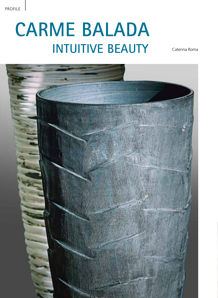## **Carme Balada Intuitive beauty**

Caterina Roma

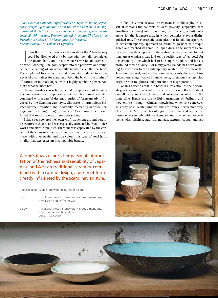*"We in our own human imperfections are repelled by the perfect, since everything is apparent from the start and there is no suggestion of the infinite. Beauty must have some room, must be associated with freedom. Freedom, indeed, is beauty. The love of the irregular is a sign of the basic quest for freedom." Soetsu Yanagi: The Unkown Craftsman*

In his Book of Tea, Okakura Kakuzo states that "True beauty<br>
could be discovered only by one who mentally completed<br>
the incomplete", and this is what Carme Balada seems to<br>
when working She goes deeper into the primitive n his Book of Tea, Okakura Kakuzo states that "True beauty could be discovered only by one who mentally completed do when working. She goes deeper into the primitive and transcendent meaning of an apparently trivial piece: the tea bowl. The simplest of forms, the first that humanity produced to suit its needs of a container for water and food, the bowl is the origin of all forms, an intimate object with a highly symbolic power. And that's what seduces her.

Carme's bowls express her personal interpretation of the richness and sensibility of Japanese and African traditional ceramics, combined with a careful design, a purity of forms greatly influenced by the Scandinavian style. She seeks a harmonious balance between tradition and modernity, recreating her own heritage and including foreign influences. As an artist, she doesn't forget that roots are what make trees strong.

Balada rediscovered her own craft travelling around ceramics centres in Japan, and was especially attracted by Ryoji Koie's works and artistic qualities. There she was captivated by the concept of the chawan – the tea ceremony bowl: usually a distorted piece, with uneven rim and dun colour, this type of bowl has a vitality that expresses an incomparable beauty.

Carme's bowls express her personal interpretation of the richness and sensibility of Japanese and African traditional ceramics, combined with a careful design, a purity of forms greatly influenced by the Scandinavian style.

opposite page **Skin**, stoneware, textured, h 28 cm

right functional pieces, stoneware, various dimensions, small sake and coffee bowls

below functional pieces, stoneware, various dimensions, black, white and blue glaze *Photos - Eloi Bonjoch*

In fact, as Carme relates, the chawan is a philosophy in itself. It contains the concepts of wabi (poverty, simplicity), sabi (loneliness, absence) and shibui (rough, unfinished), essential referents for the Japanese arts, in which ceramics plays a distinguished role. These aesthetic principles that Balada incorporates in her contemporary approach to ceramics go back to antique Korea and reached its zenith in Japan during the sixteenth century, with the development of the wabi-cha tea ceremony. In that time, great emphasis was laid on a specific type of tea bowl for the ceremony, one which had to be simple, humble, and have a profound tactile quality. For many years, Balada has been working to give form to the contemporary western expression of the Japanese tea bowl, and she has found true beauty divested of involvedness, magnificence in unevenness, splendour in simplicity, brightness in roughness and perfection in disproportion.

For this eclectic artist, the bowl is a reflection of the personality, a very intuitive kind of piece, a wordless reflection about oneself. It is an abstract piece and an everyday object at the same time. Hands are the skilful transmitters of feelings, and they express through technical knowledge, which she conceives as a way of understanding art and life from a perspective very close to the Zen principles of rigour, discipline and aesthetics. Carme works mainly with earthenware and fireclay, and experiments with mishima, sgraffito, neriage, textures, copper and ash



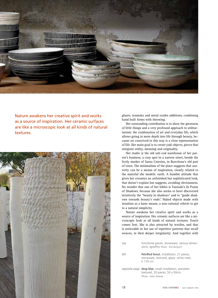

Nature awakens her creative spirit and works as a source of inspiration. Her ceramic surfaces are like a microscopic look at all kinds of natural textures.



glazes, tenmoku and metal oxides additions, combining hand built forms with throwing.

Her outstanding contribution is to show the greatness of little things and a very profound approach to utilitarianism: the combination of art and everyday life, which allows going in more depth into life through beauty, because art conceived in this way is a close representation of life. Her main goal is to create yaki objects, pieces that integrate utility, meaning and originality.

Her studio is the old salt-cod warehouse of her parent's business, a cosy spot in a narrow street, beside the lively market of Santa Caterina, in Barcelona's old part of town. The minimalism of the place suggests that austerity can be a means of inspiration, closely related to the material she models: earth. A humble attitude that gives her ceramics an unfinished but sophisticated look, that doesn't explain but suggests, avoiding obviousness. No wonder that one of her bibles is Tanizaki's In Praise of Shadows, because she also seems to have discovered intuitively the "beauty in shadows" and to "guide shadows towards beauty's ends". Naked objects made with intuition as a basic means, a non-rational vehicle to get to a natural simplicity.

Nature awakens her creative spirit and works as a source of inspiration. Her ceramic surfaces are like a microscopic look at all kinds of natural textures. Touch comes first. She is also attracted by textiles, and that is noticeable in her use of repetitive patterns that recall weaves, in their deeper irregularity. And together with

| top  | functional pieces, stoneware, various dimen-<br>sions, sgraffito Photo - Eloi Bonjoch                                      |
|------|----------------------------------------------------------------------------------------------------------------------------|
| left | <b>Petrified forest</b> , installation, 21 pieces,<br>stoneware, textured, glaze: white matt,<br>h 170 cm                  |
|      | opposite page <b>deep blue</b> , small installation, porcelain<br>textured, 20 pieces, 50 x 50cm,<br>Photo - Aitor Estevez |